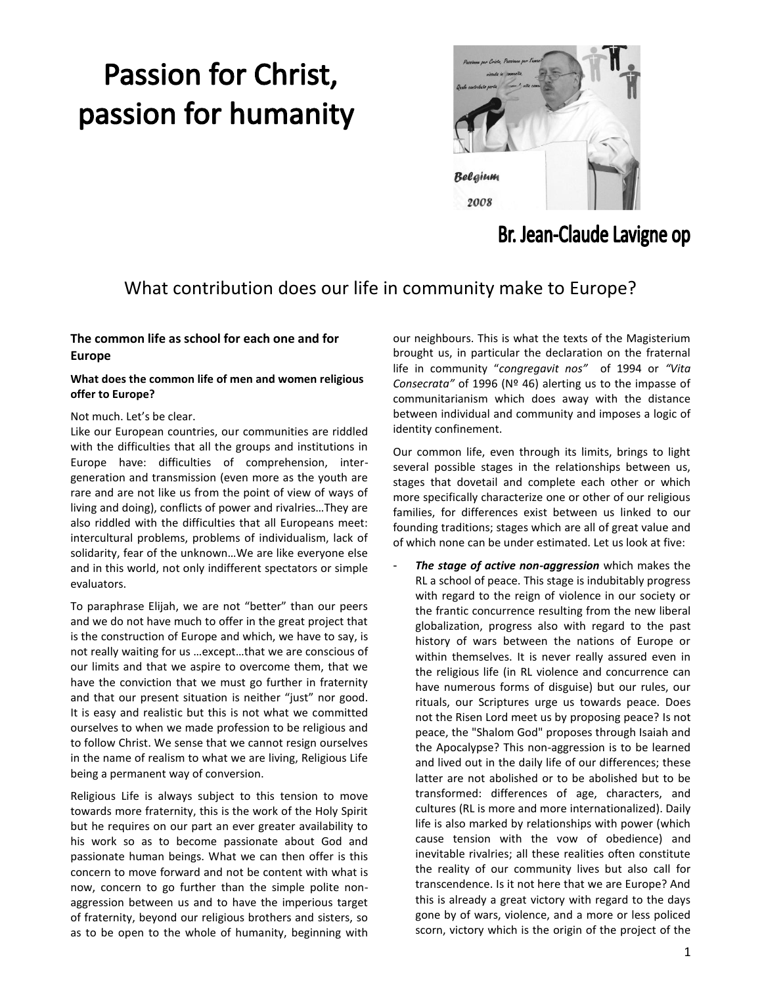# Passion for Christ, passion for humanity



# Br. Jean-Claude Lavigne op

# What contribution does our life in community make to Europe?

# **The common life as school for each one and for Europe**

# **What does the common life of men and women religious offer to Europe?**

## Not much. Let's be clear.

Like our European countries, our communities are riddled with the difficulties that all the groups and institutions in Europe have: difficulties of comprehension, intergeneration and transmission (even more as the youth are rare and are not like us from the point of view of ways of living and doing), conflicts of power and rivalries…They are also riddled with the difficulties that all Europeans meet: intercultural problems, problems of individualism, lack of solidarity, fear of the unknown…We are like everyone else and in this world, not only indifferent spectators or simple evaluators.

To paraphrase Elijah, we are not "better" than our peers and we do not have much to offer in the great project that is the construction of Europe and which, we have to say, is not really waiting for us …except…that we are conscious of our limits and that we aspire to overcome them, that we have the conviction that we must go further in fraternity and that our present situation is neither "just" nor good. It is easy and realistic but this is not what we committed ourselves to when we made profession to be religious and to follow Christ. We sense that we cannot resign ourselves in the name of realism to what we are living, Religious Life being a permanent way of conversion.

Religious Life is always subject to this tension to move towards more fraternity, this is the work of the Holy Spirit but he requires on our part an ever greater availability to his work so as to become passionate about God and passionate human beings. What we can then offer is this concern to move forward and not be content with what is now, concern to go further than the simple polite nonaggression between us and to have the imperious target of fraternity, beyond our religious brothers and sisters, so as to be open to the whole of humanity, beginning with our neighbours. This is what the texts of the Magisterium brought us, in particular the declaration on the fraternal life in community "*congregavit nos"* of 1994 or *"Vita Consecrata"* of 1996 (Nº 46) alerting us to the impasse of communitarianism which does away with the distance between individual and community and imposes a logic of identity confinement.

Our common life, even through its limits, brings to light several possible stages in the relationships between us, stages that dovetail and complete each other or which more specifically characterize one or other of our religious families, for differences exist between us linked to our founding traditions; stages which are all of great value and of which none can be under estimated. Let us look at five:

The stage of active non-aggression which makes the RL a school of peace. This stage is indubitably progress with regard to the reign of violence in our society or the frantic concurrence resulting from the new liberal globalization, progress also with regard to the past history of wars between the nations of Europe or within themselves. It is never really assured even in the religious life (in RL violence and concurrence can have numerous forms of disguise) but our rules, our rituals, our Scriptures urge us towards peace. Does not the Risen Lord meet us by proposing peace? Is not peace, the "Shalom God" proposes through Isaiah and the Apocalypse? This non-aggression is to be learned and lived out in the daily life of our differences; these latter are not abolished or to be abolished but to be transformed: differences of age, characters, and cultures (RL is more and more internationalized). Daily life is also marked by relationships with power (which cause tension with the vow of obedience) and inevitable rivalries; all these realities often constitute the reality of our community lives but also call for transcendence. Is it not here that we are Europe? And this is already a great victory with regard to the days gone by of wars, violence, and a more or less policed scorn, victory which is the origin of the project of the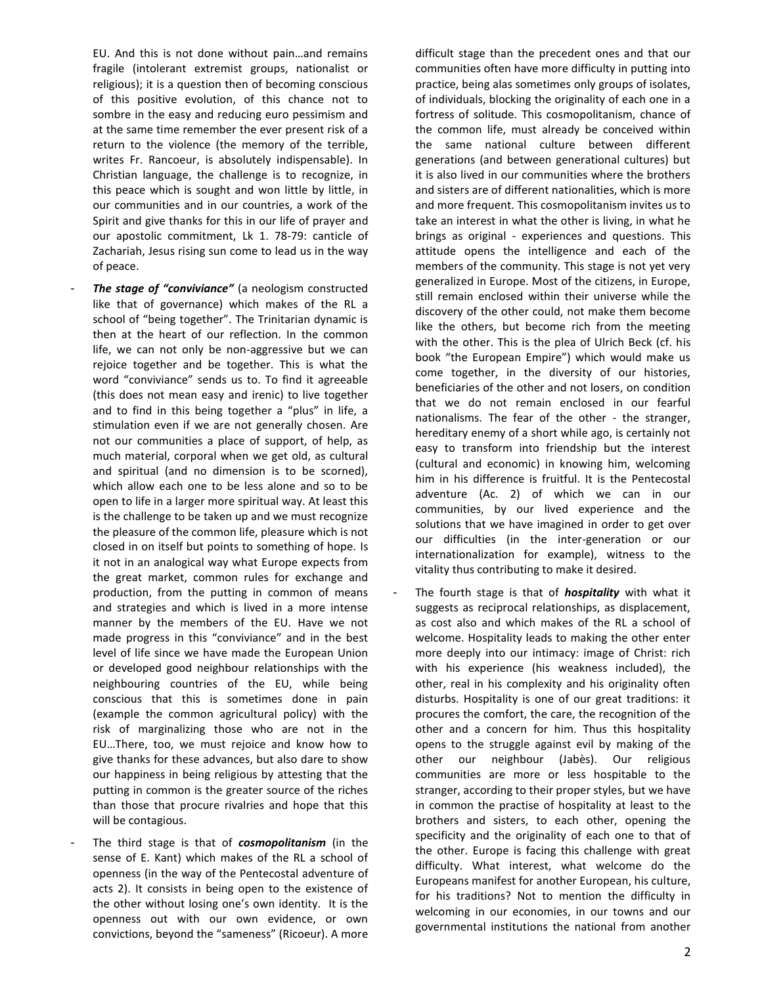EU. And this is not done without pain…and remains fragile (intolerant extremist groups, nationalist or religious); it is a question then of becoming conscious of this positive evolution, of this chance not to sombre in the easy and reducing euro pessimism and at the same time remember the ever present risk of a return to the violence (the memory of the terrible, writes Fr. Rancoeur, is absolutely indispensable). In Christian language, the challenge is to recognize, in this peace which is sought and won little by little, in our communities and in our countries, a work of the Spirit and give thanks for this in our life of prayer and our apostolic commitment, Lk 1. 78-79: canticle of Zachariah, Jesus rising sun come to lead us in the way of peace.

- *The stage of "conviviance"* (a neologism constructed like that of governance) which makes of the RL a school of "being together". The Trinitarian dynamic is then at the heart of our reflection. In the common life, we can not only be non-aggressive but we can rejoice together and be together. This is what the word "conviviance" sends us to. To find it agreeable (this does not mean easy and irenic) to live together and to find in this being together a "plus" in life, a stimulation even if we are not generally chosen. Are not our communities a place of support, of help, as much material, corporal when we get old, as cultural and spiritual (and no dimension is to be scorned), which allow each one to be less alone and so to be open to life in a larger more spiritual way. At least this is the challenge to be taken up and we must recognize the pleasure of the common life, pleasure which is not closed in on itself but points to something of hope. Is it not in an analogical way what Europe expects from the great market, common rules for exchange and production, from the putting in common of means and strategies and which is lived in a more intense manner by the members of the EU. Have we not made progress in this "conviviance" and in the best level of life since we have made the European Union or developed good neighbour relationships with the neighbouring countries of the EU, while being conscious that this is sometimes done in pain (example the common agricultural policy) with the risk of marginalizing those who are not in the EU…There, too, we must rejoice and know how to give thanks for these advances, but also dare to show our happiness in being religious by attesting that the putting in common is the greater source of the riches than those that procure rivalries and hope that this will be contagious.
- The third stage is that of *cosmopolitanism* (in the sense of E. Kant) which makes of the RL a school of openness (in the way of the Pentecostal adventure of acts 2). It consists in being open to the existence of the other without losing one's own identity. It is the openness out with our own evidence, or own convictions, beyond the "sameness" (Ricoeur). A more

difficult stage than the precedent ones and that our communities often have more difficulty in putting into practice, being alas sometimes only groups of isolates, of individuals, blocking the originality of each one in a fortress of solitude. This cosmopolitanism, chance of the common life, must already be conceived within the same national culture between different generations (and between generational cultures) but it is also lived in our communities where the brothers and sisters are of different nationalities, which is more and more frequent. This cosmopolitanism invites us to take an interest in what the other is living, in what he brings as original - experiences and questions. This attitude opens the intelligence and each of the members of the community. This stage is not yet very generalized in Europe. Most of the citizens, in Europe, still remain enclosed within their universe while the discovery of the other could, not make them become like the others, but become rich from the meeting with the other. This is the plea of Ulrich Beck (cf. his book "the European Empire") which would make us come together, in the diversity of our histories, beneficiaries of the other and not losers, on condition that we do not remain enclosed in our fearful nationalisms. The fear of the other - the stranger, hereditary enemy of a short while ago, is certainly not easy to transform into friendship but the interest (cultural and economic) in knowing him, welcoming him in his difference is fruitful. It is the Pentecostal adventure (Ac. 2) of which we can in our communities, by our lived experience and the solutions that we have imagined in order to get over our difficulties (in the inter-generation or our internationalization for example), witness to the vitality thus contributing to make it desired.

The fourth stage is that of *hospitality* with what it suggests as reciprocal relationships, as displacement, as cost also and which makes of the RL a school of welcome. Hospitality leads to making the other enter more deeply into our intimacy: image of Christ: rich with his experience (his weakness included), the other, real in his complexity and his originality often disturbs. Hospitality is one of our great traditions: it procures the comfort, the care, the recognition of the other and a concern for him. Thus this hospitality opens to the struggle against evil by making of the other our neighbour (Jabès). Our religious communities are more or less hospitable to the stranger, according to their proper styles, but we have in common the practise of hospitality at least to the brothers and sisters, to each other, opening the specificity and the originality of each one to that of the other. Europe is facing this challenge with great difficulty. What interest, what welcome do the Europeans manifest for another European, his culture, for his traditions? Not to mention the difficulty in welcoming in our economies, in our towns and our governmental institutions the national from another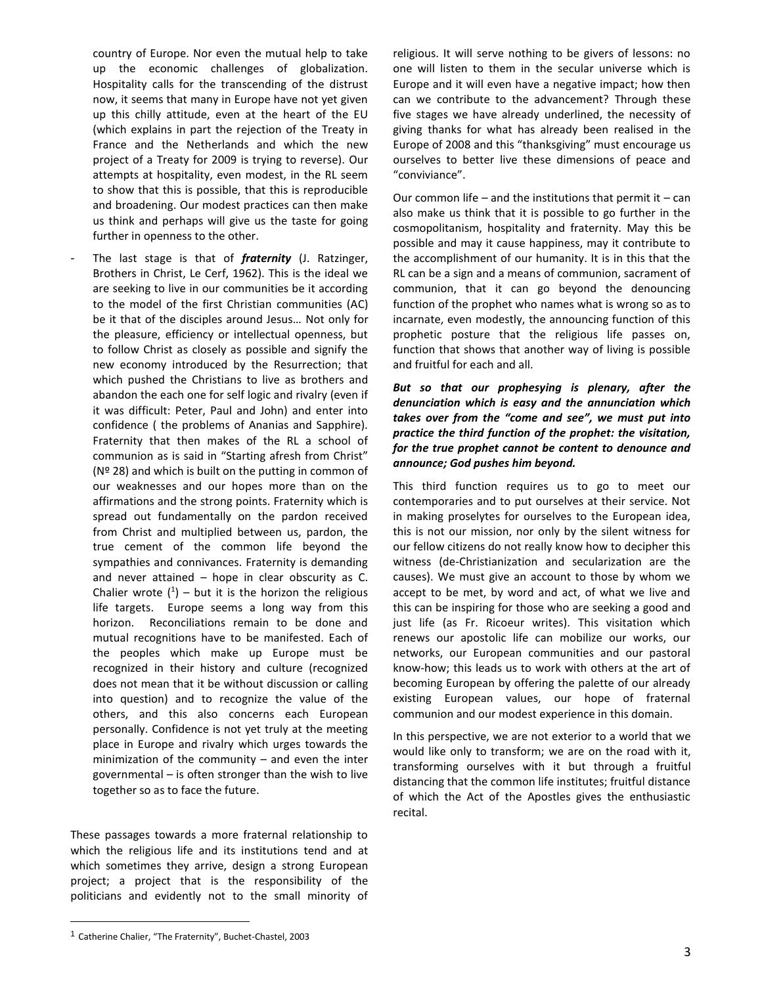country of Europe. Nor even the mutual help to take up the economic challenges of globalization. Hospitality calls for the transcending of the distrust now, it seems that many in Europe have not yet given up this chilly attitude, even at the heart of the EU (which explains in part the rejection of the Treaty in France and the Netherlands and which the new project of a Treaty for 2009 is trying to reverse). Our attempts at hospitality, even modest, in the RL seem to show that this is possible, that this is reproducible and broadening. Our modest practices can then make us think and perhaps will give us the taste for going further in openness to the other.

The last stage is that of *fraternity* (J. Ratzinger, Brothers in Christ, Le Cerf, 1962). This is the ideal we are seeking to live in our communities be it according to the model of the first Christian communities (AC) be it that of the disciples around Jesus… Not only for the pleasure, efficiency or intellectual openness, but to follow Christ as closely as possible and signify the new economy introduced by the Resurrection; that which pushed the Christians to live as brothers and abandon the each one for self logic and rivalry (even if it was difficult: Peter, Paul and John) and enter into confidence ( the problems of Ananias and Sapphire). Fraternity that then makes of the RL a school of communion as is said in "Starting afresh from Christ" (Nº 28) and which is built on the putting in common of our weaknesses and our hopes more than on the affirmations and the strong points. Fraternity which is spread out fundamentally on the pardon received from Christ and multiplied between us, pardon, the true cement of the common life beyond the sympathies and connivances. Fraternity is demanding and never attained – hope in clear obscurity as C. Chalier wrote  $(1)$  – but it is the horizon the religious life targets. Europe seems a long way from this horizon. Reconciliations remain to be done and mutual recognitions have to be manifested. Each of the peoples which make up Europe must be recognized in their history and culture (recognized does not mean that it be without discussion or calling into question) and to recognize the value of the others, and this also concerns each European personally. Confidence is not yet truly at the meeting place in Europe and rivalry which urges towards the minimization of the community – and even the inter governmental – is often stronger than the wish to live together so as to face the future.

These passages towards a more fraternal relationship to which the religious life and its institutions tend and at which sometimes they arrive, design a strong European project; a project that is the responsibility of the politicians and evidently not to the small minority of

religious. It will serve nothing to be givers of lessons: no one will listen to them in the secular universe which is Europe and it will even have a negative impact; how then can we contribute to the advancement? Through these five stages we have already underlined, the necessity of giving thanks for what has already been realised in the Europe of 2008 and this "thanksgiving" must encourage us ourselves to better live these dimensions of peace and "conviviance".

Our common life – and the institutions that permit it – can also make us think that it is possible to go further in the cosmopolitanism, hospitality and fraternity. May this be possible and may it cause happiness, may it contribute to the accomplishment of our humanity. It is in this that the RL can be a sign and a means of communion, sacrament of communion, that it can go beyond the denouncing function of the prophet who names what is wrong so as to incarnate, even modestly, the announcing function of this prophetic posture that the religious life passes on, function that shows that another way of living is possible and fruitful for each and all.

*But so that our prophesying is plenary, after the denunciation which is easy and the annunciation which takes over from the "come and see", we must put into practice the third function of the prophet: the visitation, for the true prophet cannot be content to denounce and announce; God pushes him beyond.*

This third function requires us to go to meet our contemporaries and to put ourselves at their service. Not in making proselytes for ourselves to the European idea, this is not our mission, nor only by the silent witness for our fellow citizens do not really know how to decipher this witness (de-Christianization and secularization are the causes). We must give an account to those by whom we accept to be met, by word and act, of what we live and this can be inspiring for those who are seeking a good and just life (as Fr. Ricoeur writes). This visitation which renews our apostolic life can mobilize our works, our networks, our European communities and our pastoral know-how; this leads us to work with others at the art of becoming European by offering the palette of our already existing European values, our hope of fraternal communion and our modest experience in this domain.

In this perspective, we are not exterior to a world that we would like only to transform; we are on the road with it, transforming ourselves with it but through a fruitful distancing that the common life institutes; fruitful distance of which the Act of the Apostles gives the enthusiastic recital.

 $\overline{a}$ 

<sup>&</sup>lt;sup>1</sup> Catherine Chalier, "The Fraternity", Buchet-Chastel, 2003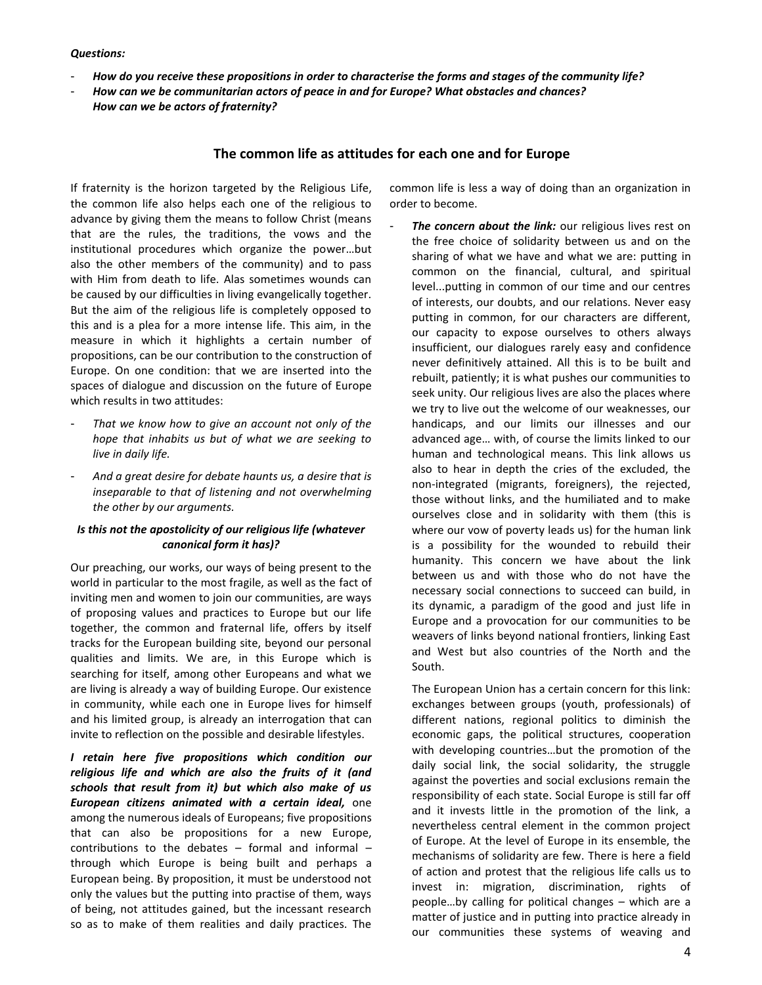#### *Questions:*

- *How do you receive these propositions in order to characterise the forms and stages of the community life?*
- *How can we be communitarian actors of peace in and for Europe? What obstacles and chances? How can we be actors of fraternity?*

### **The common life as attitudes for each one and for Europe**

If fraternity is the horizon targeted by the Religious Life, the common life also helps each one of the religious to advance by giving them the means to follow Christ (means that are the rules, the traditions, the vows and the institutional procedures which organize the power…but also the other members of the community) and to pass with Him from death to life. Alas sometimes wounds can be caused by our difficulties in living evangelically together. But the aim of the religious life is completely opposed to this and is a plea for a more intense life. This aim, in the measure in which it highlights a certain number of propositions, can be our contribution to the construction of Europe. On one condition: that we are inserted into the spaces of dialogue and discussion on the future of Europe which results in two attitudes:

- *That we know how to give an account not only of the hope that inhabits us but of what we are seeking to live in daily life.*
- *And a great desire for debate haunts us, a desire that is inseparable to that of listening and not overwhelming the other by our arguments.*

### *Is this not the apostolicity of our religious life (whatever canonical form it has)?*

Our preaching, our works, our ways of being present to the world in particular to the most fragile, as well as the fact of inviting men and women to join our communities, are ways of proposing values and practices to Europe but our life together, the common and fraternal life, offers by itself tracks for the European building site, beyond our personal qualities and limits. We are, in this Europe which is searching for itself, among other Europeans and what we are living is already a way of building Europe. Our existence in community, while each one in Europe lives for himself and his limited group, is already an interrogation that can invite to reflection on the possible and desirable lifestyles.

*I retain here five propositions which condition our religious life and which are also the fruits of it (and schools that result from it) but which also make of us European citizens animated with a certain ideal,* one among the numerous ideals of Europeans; five propositions that can also be propositions for a new Europe, contributions to the debates – formal and informal – through which Europe is being built and perhaps a European being. By proposition, it must be understood not only the values but the putting into practise of them, ways of being, not attitudes gained, but the incessant research so as to make of them realities and daily practices. The common life is less a way of doing than an organization in order to become.

The concern about the link: our religious lives rest on the free choice of solidarity between us and on the sharing of what we have and what we are: putting in common on the financial, cultural, and spiritual level...putting in common of our time and our centres of interests, our doubts, and our relations. Never easy putting in common, for our characters are different, our capacity to expose ourselves to others always insufficient, our dialogues rarely easy and confidence never definitively attained. All this is to be built and rebuilt, patiently; it is what pushes our communities to seek unity. Our religious lives are also the places where we try to live out the welcome of our weaknesses, our handicaps, and our limits our illnesses and our advanced age… with, of course the limits linked to our human and technological means. This link allows us also to hear in depth the cries of the excluded, the non-integrated (migrants, foreigners), the rejected, those without links, and the humiliated and to make ourselves close and in solidarity with them (this is where our vow of poverty leads us) for the human link is a possibility for the wounded to rebuild their humanity. This concern we have about the link between us and with those who do not have the necessary social connections to succeed can build, in its dynamic, a paradigm of the good and just life in Europe and a provocation for our communities to be weavers of links beyond national frontiers, linking East and West but also countries of the North and the South.

The European Union has a certain concern for this link: exchanges between groups (youth, professionals) of different nations, regional politics to diminish the economic gaps, the political structures, cooperation with developing countries…but the promotion of the daily social link, the social solidarity, the struggle against the poverties and social exclusions remain the responsibility of each state. Social Europe is still far off and it invests little in the promotion of the link, a nevertheless central element in the common project of Europe. At the level of Europe in its ensemble, the mechanisms of solidarity are few. There is here a field of action and protest that the religious life calls us to invest in: migration, discrimination, rights of people…by calling for political changes – which are a matter of justice and in putting into practice already in our communities these systems of weaving and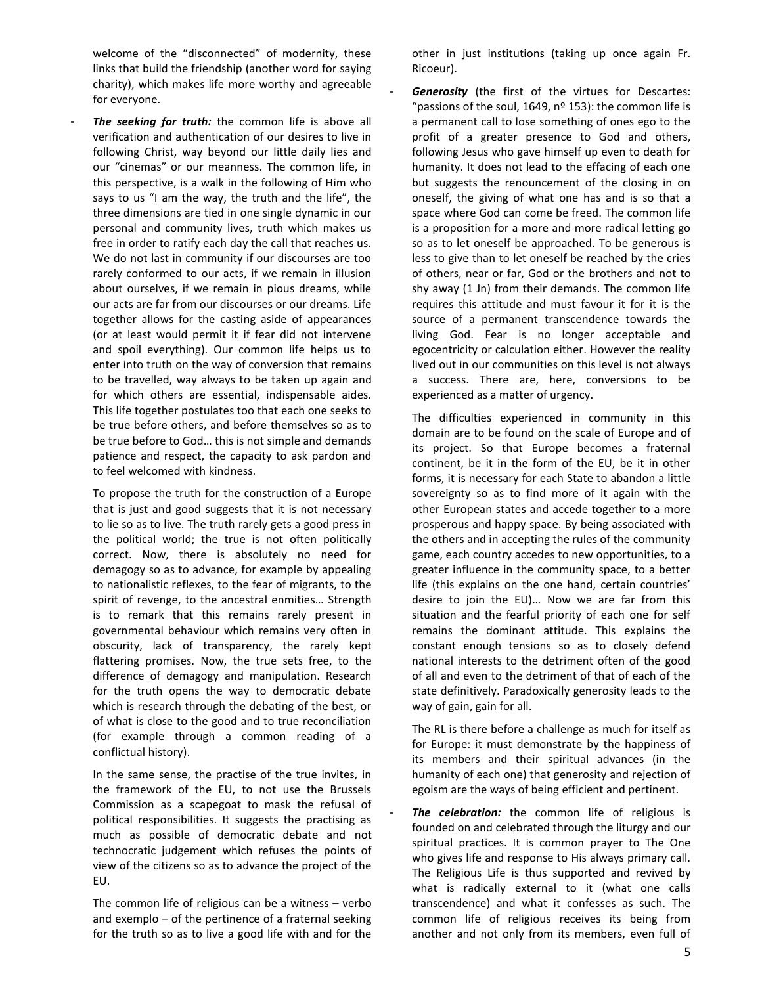welcome of the "disconnected" of modernity, these links that build the friendship (another word for saying charity), which makes life more worthy and agreeable for everyone.

The seeking for truth: the common life is above all verification and authentication of our desires to live in following Christ, way beyond our little daily lies and our "cinemas" or our meanness. The common life, in this perspective, is a walk in the following of Him who says to us "I am the way, the truth and the life", the three dimensions are tied in one single dynamic in our personal and community lives, truth which makes us free in order to ratify each day the call that reaches us. We do not last in community if our discourses are too rarely conformed to our acts, if we remain in illusion about ourselves, if we remain in pious dreams, while our acts are far from our discourses or our dreams. Life together allows for the casting aside of appearances (or at least would permit it if fear did not intervene and spoil everything). Our common life helps us to enter into truth on the way of conversion that remains to be travelled, way always to be taken up again and for which others are essential, indispensable aides. This life together postulates too that each one seeks to be true before others, and before themselves so as to be true before to God… this is not simple and demands patience and respect, the capacity to ask pardon and to feel welcomed with kindness.

To propose the truth for the construction of a Europe that is just and good suggests that it is not necessary to lie so as to live. The truth rarely gets a good press in the political world; the true is not often politically correct. Now, there is absolutely no need for demagogy so as to advance, for example by appealing to nationalistic reflexes, to the fear of migrants, to the spirit of revenge, to the ancestral enmities… Strength is to remark that this remains rarely present in governmental behaviour which remains very often in obscurity, lack of transparency, the rarely kept flattering promises. Now, the true sets free, to the difference of demagogy and manipulation. Research for the truth opens the way to democratic debate which is research through the debating of the best, or of what is close to the good and to true reconciliation (for example through a common reading of a conflictual history).

In the same sense, the practise of the true invites, in the framework of the EU, to not use the Brussels Commission as a scapegoat to mask the refusal of political responsibilities. It suggests the practising as much as possible of democratic debate and not technocratic judgement which refuses the points of view of the citizens so as to advance the project of the EU.

The common life of religious can be a witness – verbo and exemplo – of the pertinence of a fraternal seeking for the truth so as to live a good life with and for the other in just institutions (taking up once again Fr. Ricoeur).

**Generosity** (the first of the virtues for Descartes: "passions of the soul, 1649,  $n^{\circ}$  153): the common life is a permanent call to lose something of ones ego to the profit of a greater presence to God and others, following Jesus who gave himself up even to death for humanity. It does not lead to the effacing of each one but suggests the renouncement of the closing in on oneself, the giving of what one has and is so that a space where God can come be freed. The common life is a proposition for a more and more radical letting go so as to let oneself be approached. To be generous is less to give than to let oneself be reached by the cries of others, near or far, God or the brothers and not to shy away (1 Jn) from their demands. The common life requires this attitude and must favour it for it is the source of a permanent transcendence towards the living God. Fear is no longer acceptable and egocentricity or calculation either. However the reality lived out in our communities on this level is not always a success. There are, here, conversions to be experienced as a matter of urgency.

The difficulties experienced in community in this domain are to be found on the scale of Europe and of its project. So that Europe becomes a fraternal continent, be it in the form of the EU, be it in other forms, it is necessary for each State to abandon a little sovereignty so as to find more of it again with the other European states and accede together to a more prosperous and happy space. By being associated with the others and in accepting the rules of the community game, each country accedes to new opportunities, to a greater influence in the community space, to a better life (this explains on the one hand, certain countries' desire to join the EU)… Now we are far from this situation and the fearful priority of each one for self remains the dominant attitude. This explains the constant enough tensions so as to closely defend national interests to the detriment often of the good of all and even to the detriment of that of each of the state definitively. Paradoxically generosity leads to the way of gain, gain for all.

The RL is there before a challenge as much for itself as for Europe: it must demonstrate by the happiness of its members and their spiritual advances (in the humanity of each one) that generosity and rejection of egoism are the ways of being efficient and pertinent.

The celebration: the common life of religious is founded on and celebrated through the liturgy and our spiritual practices. It is common prayer to The One who gives life and response to His always primary call. The Religious Life is thus supported and revived by what is radically external to it (what one calls transcendence) and what it confesses as such. The common life of religious receives its being from another and not only from its members, even full of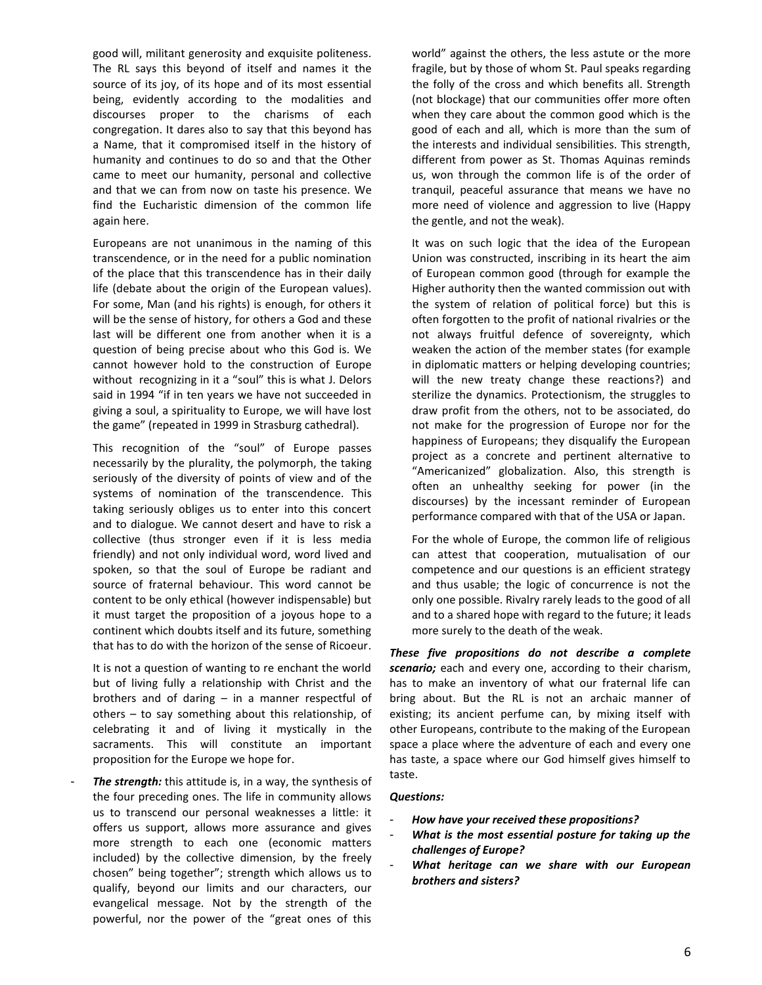good will, militant generosity and exquisite politeness. The RL says this beyond of itself and names it the source of its joy, of its hope and of its most essential being, evidently according to the modalities and discourses proper to the charisms of each congregation. It dares also to say that this beyond has a Name, that it compromised itself in the history of humanity and continues to do so and that the Other came to meet our humanity, personal and collective and that we can from now on taste his presence. We find the Eucharistic dimension of the common life again here.

Europeans are not unanimous in the naming of this transcendence, or in the need for a public nomination of the place that this transcendence has in their daily life (debate about the origin of the European values). For some, Man (and his rights) is enough, for others it will be the sense of history, for others a God and these last will be different one from another when it is a question of being precise about who this God is. We cannot however hold to the construction of Europe without recognizing in it a "soul" this is what J. Delors said in 1994 "if in ten years we have not succeeded in giving a soul, a spirituality to Europe, we will have lost the game" (repeated in 1999 in Strasburg cathedral).

This recognition of the "soul" of Europe passes necessarily by the plurality, the polymorph, the taking seriously of the diversity of points of view and of the systems of nomination of the transcendence. This taking seriously obliges us to enter into this concert and to dialogue. We cannot desert and have to risk a collective (thus stronger even if it is less media friendly) and not only individual word, word lived and spoken, so that the soul of Europe be radiant and source of fraternal behaviour. This word cannot be content to be only ethical (however indispensable) but it must target the proposition of a joyous hope to a continent which doubts itself and its future, something that has to do with the horizon of the sense of Ricoeur.

It is not a question of wanting to re enchant the world but of living fully a relationship with Christ and the brothers and of daring – in a manner respectful of others – to say something about this relationship, of celebrating it and of living it mystically in the sacraments. This will constitute an important proposition for the Europe we hope for.

The *strength:* this attitude is, in a way, the synthesis of the four preceding ones. The life in community allows us to transcend our personal weaknesses a little: it offers us support, allows more assurance and gives more strength to each one (economic matters included) by the collective dimension, by the freely chosen" being together"; strength which allows us to qualify, beyond our limits and our characters, our evangelical message. Not by the strength of the powerful, nor the power of the "great ones of this world" against the others, the less astute or the more fragile, but by those of whom St. Paul speaks regarding the folly of the cross and which benefits all. Strength (not blockage) that our communities offer more often when they care about the common good which is the good of each and all, which is more than the sum of the interests and individual sensibilities. This strength, different from power as St. Thomas Aquinas reminds us, won through the common life is of the order of tranquil, peaceful assurance that means we have no more need of violence and aggression to live (Happy the gentle, and not the weak).

It was on such logic that the idea of the European Union was constructed, inscribing in its heart the aim of European common good (through for example the Higher authority then the wanted commission out with the system of relation of political force) but this is often forgotten to the profit of national rivalries or the not always fruitful defence of sovereignty, which weaken the action of the member states (for example in diplomatic matters or helping developing countries; will the new treaty change these reactions?) and sterilize the dynamics. Protectionism, the struggles to draw profit from the others, not to be associated, do not make for the progression of Europe nor for the happiness of Europeans; they disqualify the European project as a concrete and pertinent alternative to "Americanized" globalization. Also, this strength is often an unhealthy seeking for power (in the discourses) by the incessant reminder of European performance compared with that of the USA or Japan.

For the whole of Europe, the common life of religious can attest that cooperation, mutualisation of our competence and our questions is an efficient strategy and thus usable; the logic of concurrence is not the only one possible. Rivalry rarely leads to the good of all and to a shared hope with regard to the future; it leads more surely to the death of the weak.

*These five propositions do not describe a complete scenario;* each and every one, according to their charism, has to make an inventory of what our fraternal life can bring about. But the RL is not an archaic manner of existing; its ancient perfume can, by mixing itself with other Europeans, contribute to the making of the European space a place where the adventure of each and every one has taste, a space where our God himself gives himself to taste.

#### *Questions:*

- *How have your received these propositions?*
- *What is the most essential posture for taking up the challenges of Europe?*
- *What heritage can we share with our European brothers and sisters?*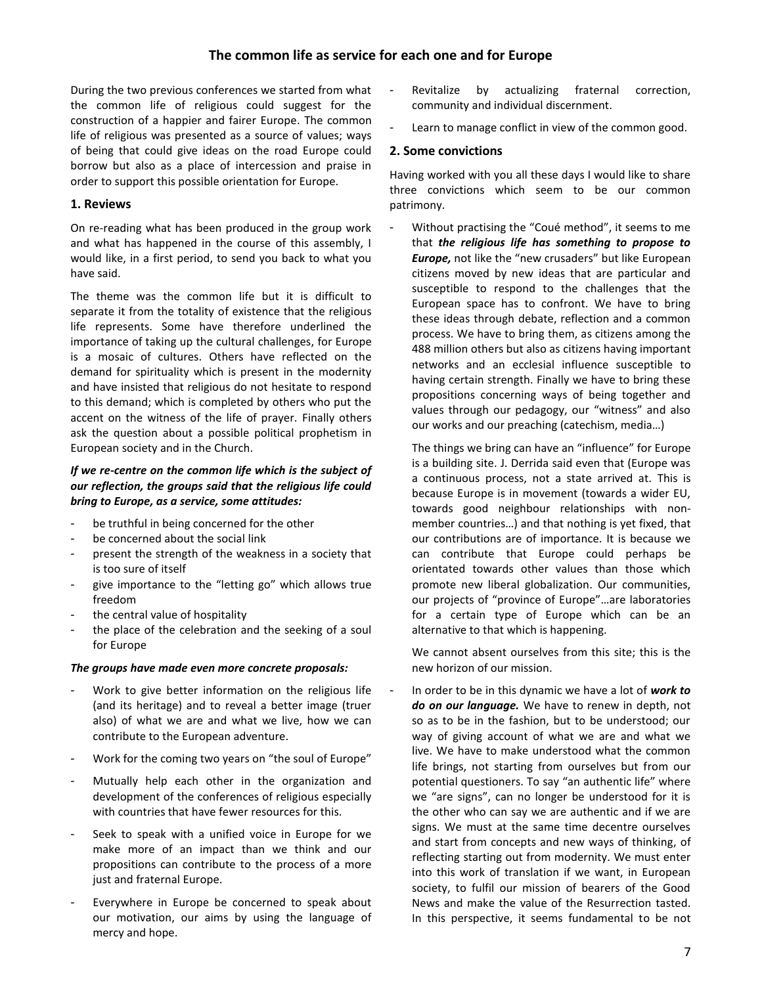# **The common life as service for each one and for Europe**

During the two previous conferences we started from what the common life of religious could suggest for the construction of a happier and fairer Europe. The common life of religious was presented as a source of values; ways of being that could give ideas on the road Europe could borrow but also as a place of intercession and praise in order to support this possible orientation for Europe.

# **1. Reviews**

On re-reading what has been produced in the group work and what has happened in the course of this assembly, I would like, in a first period, to send you back to what you have said.

The theme was the common life but it is difficult to separate it from the totality of existence that the religious life represents. Some have therefore underlined the importance of taking up the cultural challenges, for Europe is a mosaic of cultures. Others have reflected on the demand for spirituality which is present in the modernity and have insisted that religious do not hesitate to respond to this demand; which is completed by others who put the accent on the witness of the life of prayer. Finally others ask the question about a possible political prophetism in European society and in the Church.

# *If we re-centre on the common life which is the subject of our reflection, the groups said that the religious life could bring to Europe, as a service, some attitudes:*

- be truthful in being concerned for the other
- be concerned about the social link
- present the strength of the weakness in a society that is too sure of itself
- give importance to the "letting go" which allows true freedom
- the central value of hospitality
- the place of the celebration and the seeking of a soul for Europe

#### *The groups have made even more concrete proposals:*

- Work to give better information on the religious life (and its heritage) and to reveal a better image (truer also) of what we are and what we live, how we can contribute to the European adventure.
- Work for the coming two years on "the soul of Europe"
- Mutually help each other in the organization and development of the conferences of religious especially with countries that have fewer resources for this.
- Seek to speak with a unified voice in Europe for we make more of an impact than we think and our propositions can contribute to the process of a more just and fraternal Europe.
- Everywhere in Europe be concerned to speak about our motivation, our aims by using the language of mercy and hope.
- Revitalize by actualizing fraternal correction, community and individual discernment.
- Learn to manage conflict in view of the common good.

# **2. Some convictions**

Having worked with you all these days I would like to share three convictions which seem to be our common patrimony.

Without practising the "Coué method", it seems to me that *the religious life has something to propose to Europe,* not like the "new crusaders" but like European citizens moved by new ideas that are particular and susceptible to respond to the challenges that the European space has to confront. We have to bring these ideas through debate, reflection and a common process. We have to bring them, as citizens among the 488 million others but also as citizens having important networks and an ecclesial influence susceptible to having certain strength. Finally we have to bring these propositions concerning ways of being together and values through our pedagogy, our "witness" and also our works and our preaching (catechism, media…)

The things we bring can have an "influence" for Europe is a building site. J. Derrida said even that (Europe was a continuous process, not a state arrived at. This is because Europe is in movement (towards a wider EU, towards good neighbour relationships with nonmember countries…) and that nothing is yet fixed, that our contributions are of importance. It is because we can contribute that Europe could perhaps be orientated towards other values than those which promote new liberal globalization. Our communities, our projects of "province of Europe"…are laboratories for a certain type of Europe which can be an alternative to that which is happening.

We cannot absent ourselves from this site; this is the new horizon of our mission.

- In order to be in this dynamic we have a lot of *work to do on our language.* We have to renew in depth, not so as to be in the fashion, but to be understood; our way of giving account of what we are and what we live. We have to make understood what the common life brings, not starting from ourselves but from our potential questioners. To say "an authentic life" where we "are signs", can no longer be understood for it is the other who can say we are authentic and if we are signs. We must at the same time decentre ourselves and start from concepts and new ways of thinking, of reflecting starting out from modernity. We must enter into this work of translation if we want, in European society, to fulfil our mission of bearers of the Good News and make the value of the Resurrection tasted. In this perspective, it seems fundamental to be not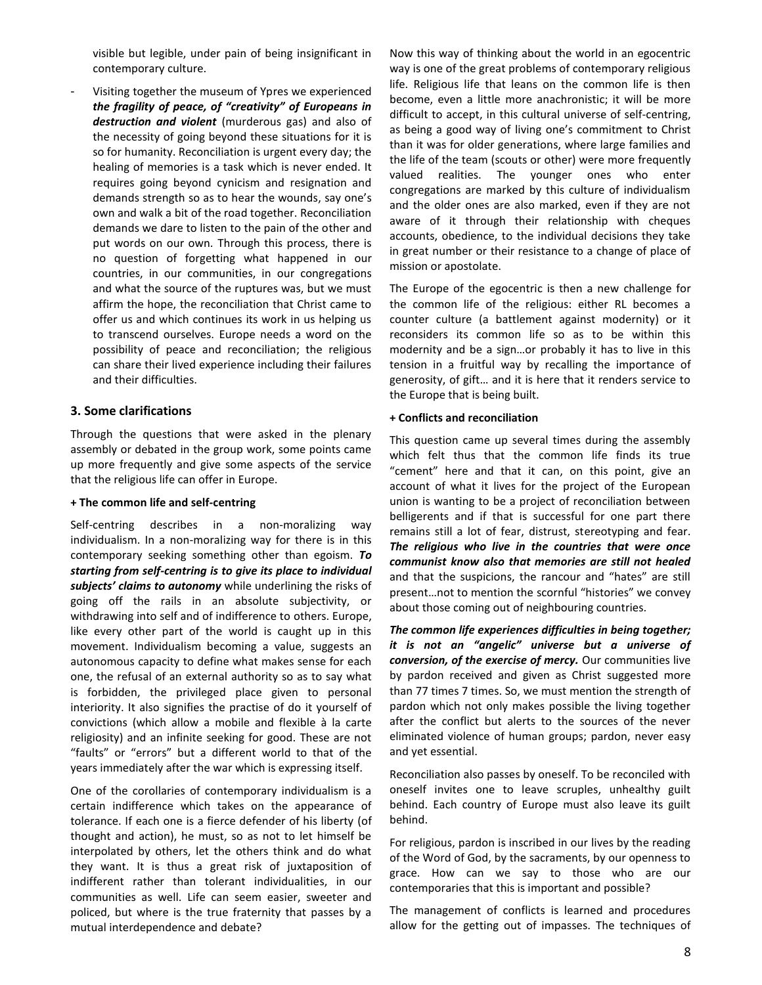visible but legible, under pain of being insignificant in contemporary culture.

Visiting together the museum of Ypres we experienced *the fragility of peace, of "creativity" of Europeans in destruction and violent* (murderous gas) and also of the necessity of going beyond these situations for it is so for humanity. Reconciliation is urgent every day; the healing of memories is a task which is never ended. It requires going beyond cynicism and resignation and demands strength so as to hear the wounds, say one's own and walk a bit of the road together. Reconciliation demands we dare to listen to the pain of the other and put words on our own. Through this process, there is no question of forgetting what happened in our countries, in our communities, in our congregations and what the source of the ruptures was, but we must affirm the hope, the reconciliation that Christ came to offer us and which continues its work in us helping us to transcend ourselves. Europe needs a word on the possibility of peace and reconciliation; the religious can share their lived experience including their failures and their difficulties.

## **3. Some clarifications**

Through the questions that were asked in the plenary assembly or debated in the group work, some points came up more frequently and give some aspects of the service that the religious life can offer in Europe.

#### **+ The common life and self-centring**

Self-centring describes in a non-moralizing way individualism. In a non-moralizing way for there is in this contemporary seeking something other than egoism. *To starting from self-centring is to give its place to individual subjects' claims to autonomy* while underlining the risks of going off the rails in an absolute subjectivity, or withdrawing into self and of indifference to others. Europe, like every other part of the world is caught up in this movement. Individualism becoming a value, suggests an autonomous capacity to define what makes sense for each one, the refusal of an external authority so as to say what is forbidden, the privileged place given to personal interiority. It also signifies the practise of do it yourself of convictions (which allow a mobile and flexible à la carte religiosity) and an infinite seeking for good. These are not "faults" or "errors" but a different world to that of the years immediately after the war which is expressing itself.

One of the corollaries of contemporary individualism is a certain indifference which takes on the appearance of tolerance. If each one is a fierce defender of his liberty (of thought and action), he must, so as not to let himself be interpolated by others, let the others think and do what they want. It is thus a great risk of juxtaposition of indifferent rather than tolerant individualities, in our communities as well. Life can seem easier, sweeter and policed, but where is the true fraternity that passes by a mutual interdependence and debate?

Now this way of thinking about the world in an egocentric way is one of the great problems of contemporary religious life. Religious life that leans on the common life is then become, even a little more anachronistic; it will be more difficult to accept, in this cultural universe of self-centring, as being a good way of living one's commitment to Christ than it was for older generations, where large families and the life of the team (scouts or other) were more frequently valued realities. The younger ones who enter congregations are marked by this culture of individualism and the older ones are also marked, even if they are not aware of it through their relationship with cheques accounts, obedience, to the individual decisions they take in great number or their resistance to a change of place of mission or apostolate.

The Europe of the egocentric is then a new challenge for the common life of the religious: either RL becomes a counter culture (a battlement against modernity) or it reconsiders its common life so as to be within this modernity and be a sign…or probably it has to live in this tension in a fruitful way by recalling the importance of generosity, of gift… and it is here that it renders service to the Europe that is being built.

#### **+ Conflicts and reconciliation**

This question came up several times during the assembly which felt thus that the common life finds its true "cement" here and that it can, on this point, give an account of what it lives for the project of the European union is wanting to be a project of reconciliation between belligerents and if that is successful for one part there remains still a lot of fear, distrust, stereotyping and fear. *The religious who live in the countries that were once communist know also that memories are still not healed* and that the suspicions, the rancour and "hates" are still present…not to mention the scornful "histories" we convey about those coming out of neighbouring countries.

*The common life experiences difficulties in being together; it is not an "angelic" universe but a universe of conversion, of the exercise of mercy.* Our communities live by pardon received and given as Christ suggested more than 77 times 7 times. So, we must mention the strength of pardon which not only makes possible the living together after the conflict but alerts to the sources of the never eliminated violence of human groups; pardon, never easy and yet essential.

Reconciliation also passes by oneself. To be reconciled with oneself invites one to leave scruples, unhealthy guilt behind. Each country of Europe must also leave its guilt behind.

For religious, pardon is inscribed in our lives by the reading of the Word of God, by the sacraments, by our openness to grace. How can we say to those who are our contemporaries that this is important and possible?

The management of conflicts is learned and procedures allow for the getting out of impasses. The techniques of